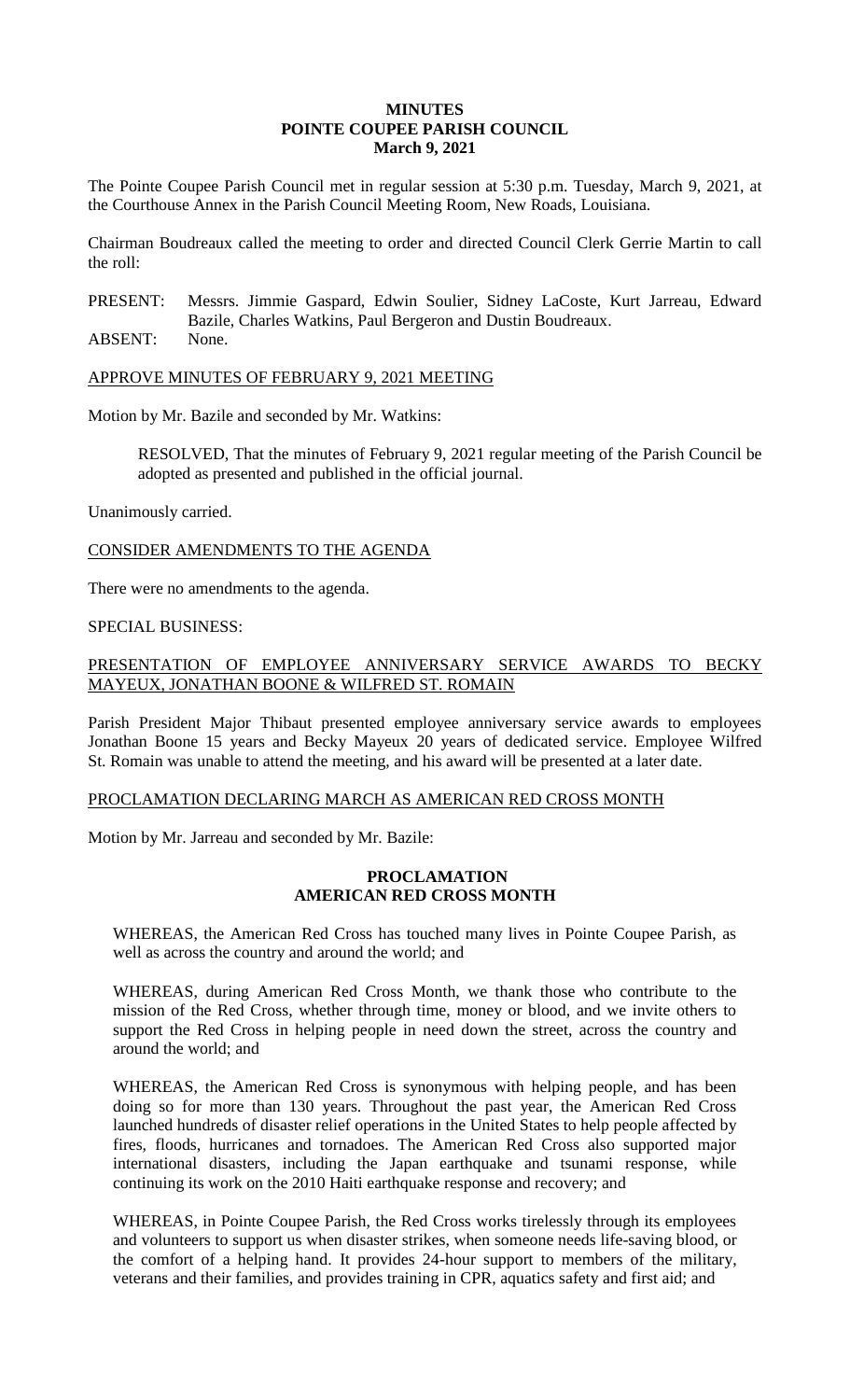### **MINUTES POINTE COUPEE PARISH COUNCIL March 9, 2021**

The Pointe Coupee Parish Council met in regular session at 5:30 p.m. Tuesday, March 9, 2021, at the Courthouse Annex in the Parish Council Meeting Room, New Roads, Louisiana.

Chairman Boudreaux called the meeting to order and directed Council Clerk Gerrie Martin to call the roll:

PRESENT: Messrs. Jimmie Gaspard, Edwin Soulier, Sidney LaCoste, Kurt Jarreau, Edward Bazile, Charles Watkins, Paul Bergeron and Dustin Boudreaux.

ABSENT: None.

APPROVE MINUTES OF FEBRUARY 9, 2021 MEETING

Motion by Mr. Bazile and seconded by Mr. Watkins:

RESOLVED, That the minutes of February 9, 2021 regular meeting of the Parish Council be adopted as presented and published in the official journal.

Unanimously carried.

CONSIDER AMENDMENTS TO THE AGENDA

There were no amendments to the agenda.

#### SPECIAL BUSINESS:

# PRESENTATION OF EMPLOYEE ANNIVERSARY SERVICE AWARDS TO BECKY MAYEUX, JONATHAN BOONE & WILFRED ST. ROMAIN

Parish President Major Thibaut presented employee anniversary service awards to employees Jonathan Boone 15 years and Becky Mayeux 20 years of dedicated service. Employee Wilfred St. Romain was unable to attend the meeting, and his award will be presented at a later date.

### PROCLAMATION DECLARING MARCH AS AMERICAN RED CROSS MONTH

Motion by Mr. Jarreau and seconded by Mr. Bazile:

#### **PROCLAMATION AMERICAN RED CROSS MONTH**

WHEREAS, the American Red Cross has touched many lives in Pointe Coupee Parish, as well as across the country and around the world; and

WHEREAS, during American Red Cross Month, we thank those who contribute to the mission of the Red Cross, whether through time, money or blood, and we invite others to support the Red Cross in helping people in need down the street, across the country and around the world; and

WHEREAS, the American Red Cross is synonymous with helping people, and has been doing so for more than 130 years. Throughout the past year, the American Red Cross launched hundreds of disaster relief operations in the United States to help people affected by fires, floods, hurricanes and tornadoes. The American Red Cross also supported major international disasters, including the Japan earthquake and tsunami response, while continuing its work on the 2010 Haiti earthquake response and recovery; and

WHEREAS, in Pointe Coupee Parish, the Red Cross works tirelessly through its employees and volunteers to support us when disaster strikes, when someone needs life-saving blood, or the comfort of a helping hand. It provides 24-hour support to members of the military, veterans and their families, and provides training in CPR, aquatics safety and first aid; and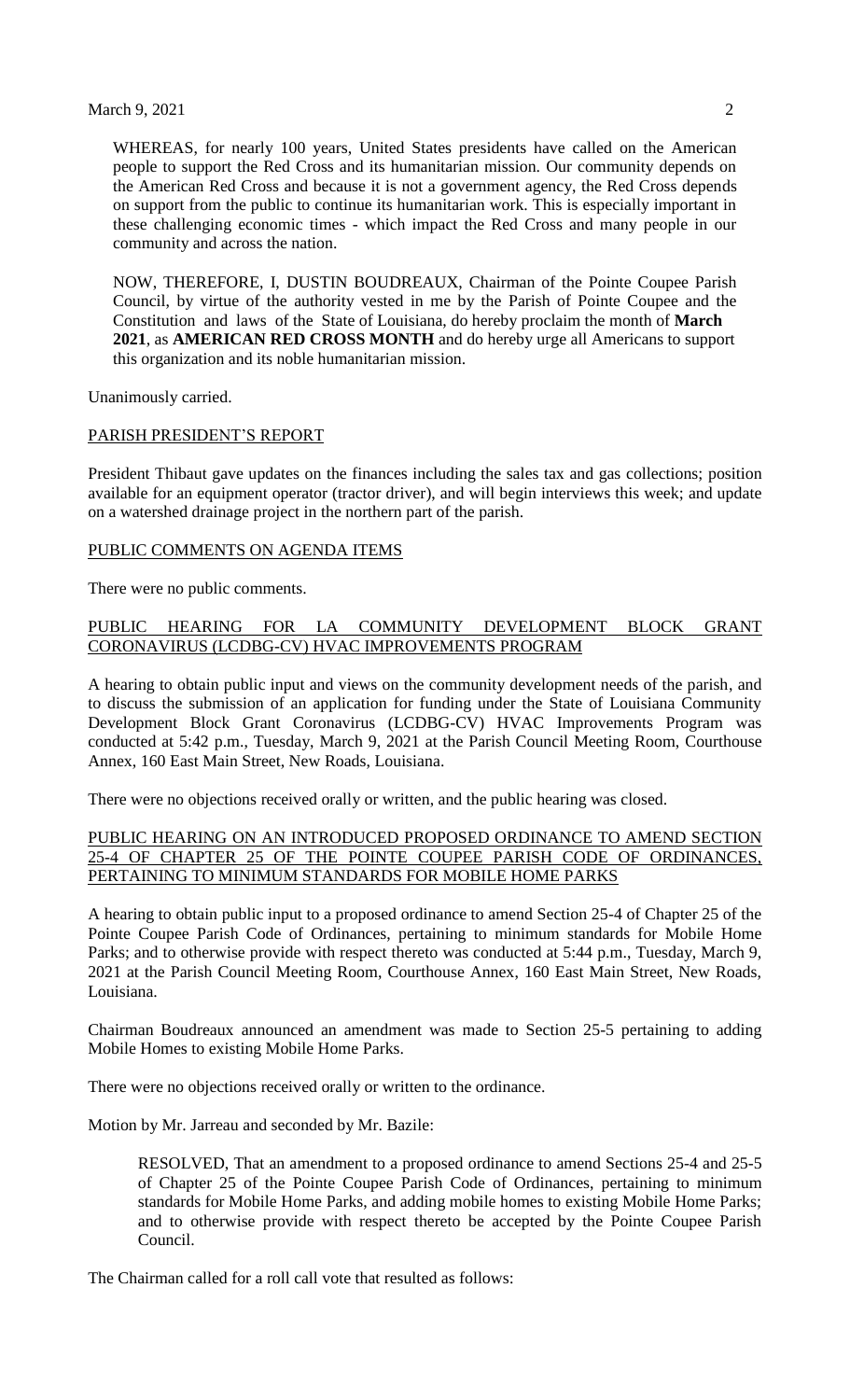#### March 9, 2021 2

WHEREAS, for nearly 100 years, United States presidents have called on the American people to support the Red Cross and its humanitarian mission. Our community depends on the American Red Cross and because it is not a government agency, the Red Cross depends on support from the public to continue its humanitarian work. This is especially important in these challenging economic times - which impact the Red Cross and many people in our community and across the nation.

NOW, THEREFORE, I, DUSTIN BOUDREAUX, Chairman of the Pointe Coupee Parish Council, by virtue of the authority vested in me by the Parish of Pointe Coupee and the Constitution and laws of the State of Louisiana, do hereby proclaim the month of **March 2021**, as **AMERICAN RED CROSS MONTH** and do hereby urge all Americans to support this organization and its noble humanitarian mission.

Unanimously carried.

#### PARISH PRESIDENT'S REPORT

President Thibaut gave updates on the finances including the sales tax and gas collections; position available for an equipment operator (tractor driver), and will begin interviews this week; and update on a watershed drainage project in the northern part of the parish.

#### PUBLIC COMMENTS ON AGENDA ITEMS

There were no public comments.

### PUBLIC HEARING FOR LA COMMUNITY DEVELOPMENT BLOCK GRANT CORONAVIRUS (LCDBG-CV) HVAC IMPROVEMENTS PROGRAM

A hearing to obtain public input and views on the community development needs of the parish, and to discuss the submission of an application for funding under the State of Louisiana Community Development Block Grant Coronavirus (LCDBG-CV) HVAC Improvements Program was conducted at 5:42 p.m., Tuesday, March 9, 2021 at the Parish Council Meeting Room, Courthouse Annex, 160 East Main Street, New Roads, Louisiana.

There were no objections received orally or written, and the public hearing was closed.

# PUBLIC HEARING ON AN INTRODUCED PROPOSED ORDINANCE TO AMEND SECTION 25-4 OF CHAPTER 25 OF THE POINTE COUPEE PARISH CODE OF ORDINANCES, PERTAINING TO MINIMUM STANDARDS FOR MOBILE HOME PARKS

A hearing to obtain public input to a proposed ordinance to amend Section 25-4 of Chapter 25 of the Pointe Coupee Parish Code of Ordinances, pertaining to minimum standards for Mobile Home Parks; and to otherwise provide with respect thereto was conducted at 5:44 p.m., Tuesday, March 9, 2021 at the Parish Council Meeting Room, Courthouse Annex, 160 East Main Street, New Roads, Louisiana.

Chairman Boudreaux announced an amendment was made to Section 25-5 pertaining to adding Mobile Homes to existing Mobile Home Parks.

There were no objections received orally or written to the ordinance.

Motion by Mr. Jarreau and seconded by Mr. Bazile:

RESOLVED, That an amendment to a proposed ordinance to amend Sections 25-4 and 25-5 of Chapter 25 of the Pointe Coupee Parish Code of Ordinances, pertaining to minimum standards for Mobile Home Parks, and adding mobile homes to existing Mobile Home Parks; and to otherwise provide with respect thereto be accepted by the Pointe Coupee Parish Council.

The Chairman called for a roll call vote that resulted as follows: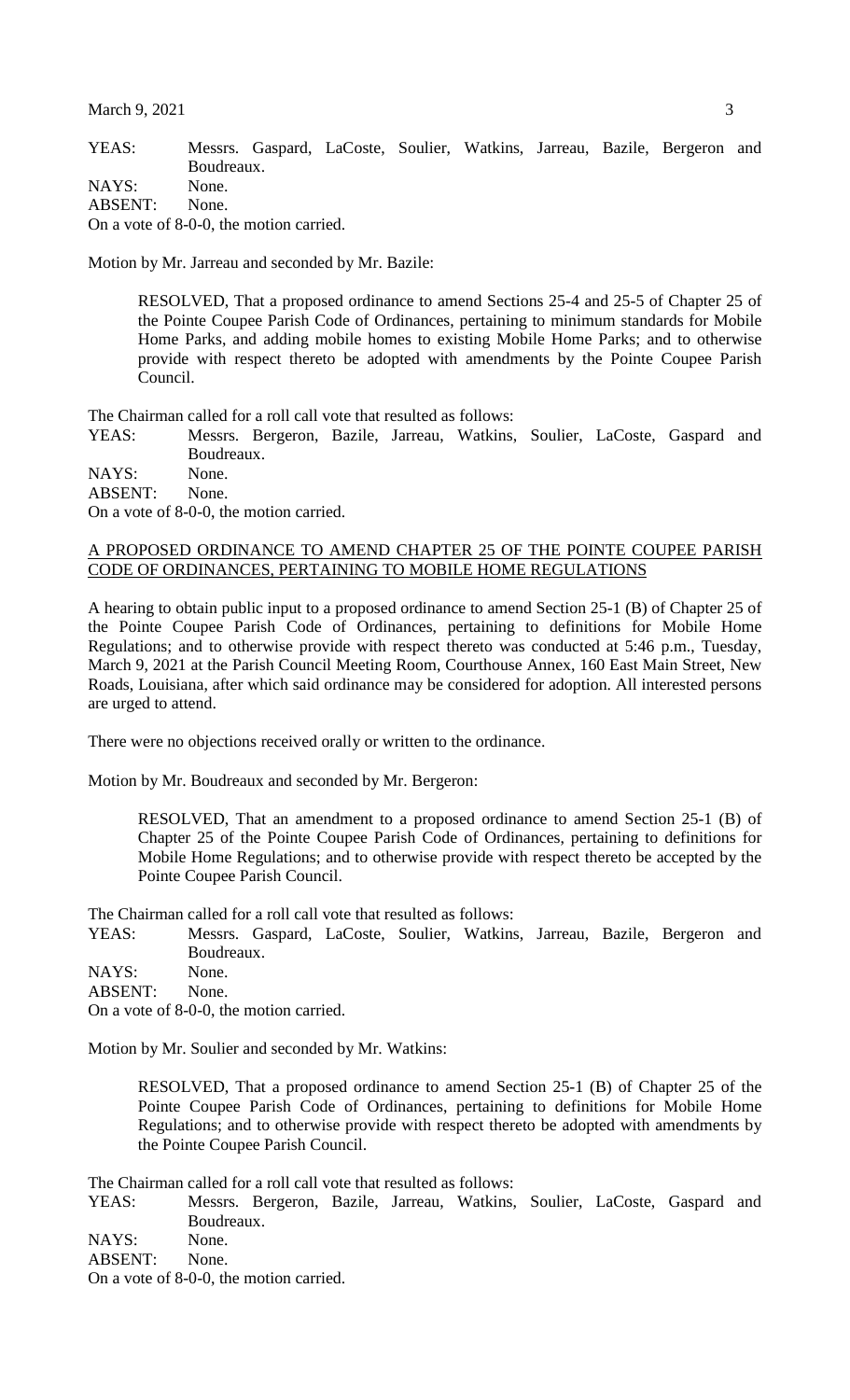YEAS: Messrs. Gaspard, LaCoste, Soulier, Watkins, Jarreau, Bazile, Bergeron and Boudreaux. NAYS: None.

ABSENT: None.

On a vote of 8-0-0, the motion carried.

Motion by Mr. Jarreau and seconded by Mr. Bazile:

RESOLVED, That a proposed ordinance to amend Sections 25-4 and 25-5 of Chapter 25 of the Pointe Coupee Parish Code of Ordinances, pertaining to minimum standards for Mobile Home Parks, and adding mobile homes to existing Mobile Home Parks; and to otherwise provide with respect thereto be adopted with amendments by the Pointe Coupee Parish Council.

The Chairman called for a roll call vote that resulted as follows:

YEAS: Messrs. Bergeron, Bazile, Jarreau, Watkins, Soulier, LaCoste, Gaspard and Boudreaux.

NAYS: None. ABSENT: None.

On a vote of 8-0-0, the motion carried.

#### A PROPOSED ORDINANCE TO AMEND CHAPTER 25 OF THE POINTE COUPEE PARISH CODE OF ORDINANCES, PERTAINING TO MOBILE HOME REGULATIONS

A hearing to obtain public input to a proposed ordinance to amend Section 25-1 (B) of Chapter 25 of the Pointe Coupee Parish Code of Ordinances, pertaining to definitions for Mobile Home Regulations; and to otherwise provide with respect thereto was conducted at 5:46 p.m., Tuesday, March 9, 2021 at the Parish Council Meeting Room, Courthouse Annex, 160 East Main Street, New Roads, Louisiana, after which said ordinance may be considered for adoption. All interested persons are urged to attend.

There were no objections received orally or written to the ordinance.

Motion by Mr. Boudreaux and seconded by Mr. Bergeron:

RESOLVED, That an amendment to a proposed ordinance to amend Section 25-1 (B) of Chapter 25 of the Pointe Coupee Parish Code of Ordinances, pertaining to definitions for Mobile Home Regulations; and to otherwise provide with respect thereto be accepted by the Pointe Coupee Parish Council.

The Chairman called for a roll call vote that resulted as follows:

YEAS: Messrs. Gaspard, LaCoste, Soulier, Watkins, Jarreau, Bazile, Bergeron and Boudreaux.

NAYS: None.

ABSENT: None.

On a vote of 8-0-0, the motion carried.

Motion by Mr. Soulier and seconded by Mr. Watkins:

RESOLVED, That a proposed ordinance to amend Section 25-1 (B) of Chapter 25 of the Pointe Coupee Parish Code of Ordinances, pertaining to definitions for Mobile Home Regulations; and to otherwise provide with respect thereto be adopted with amendments by the Pointe Coupee Parish Council.

The Chairman called for a roll call vote that resulted as follows:

YEAS: Messrs. Bergeron, Bazile, Jarreau, Watkins, Soulier, LaCoste, Gaspard and Boudreaux.

NAYS: None.

ABSENT: None.

On a vote of 8-0-0, the motion carried.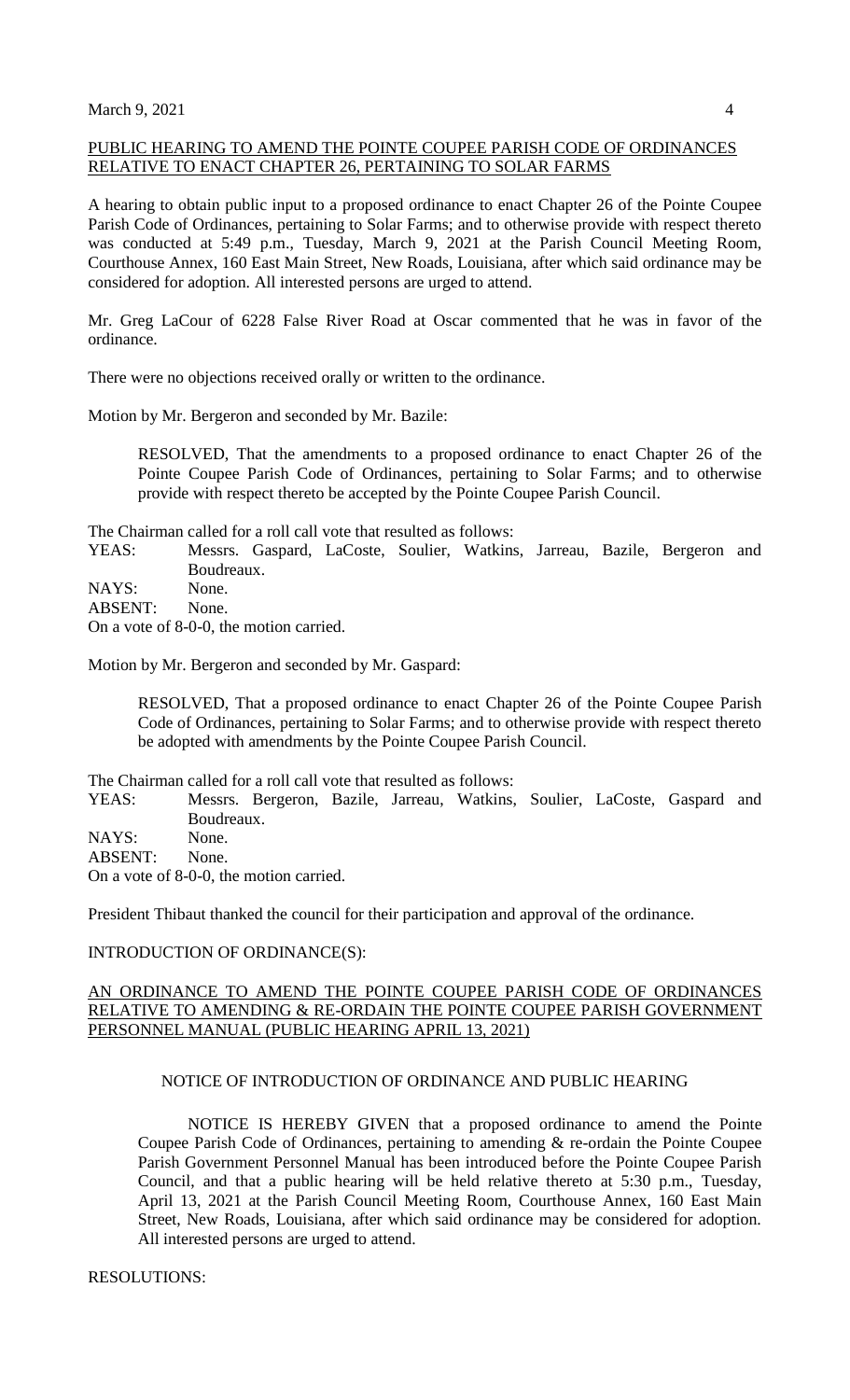# PUBLIC HEARING TO AMEND THE POINTE COUPEE PARISH CODE OF ORDINANCES RELATIVE TO ENACT CHAPTER 26, PERTAINING TO SOLAR FARMS

A hearing to obtain public input to a proposed ordinance to enact Chapter 26 of the Pointe Coupee Parish Code of Ordinances, pertaining to Solar Farms; and to otherwise provide with respect thereto was conducted at 5:49 p.m., Tuesday, March 9, 2021 at the Parish Council Meeting Room, Courthouse Annex, 160 East Main Street, New Roads, Louisiana, after which said ordinance may be considered for adoption. All interested persons are urged to attend.

Mr. Greg LaCour of 6228 False River Road at Oscar commented that he was in favor of the ordinance.

There were no objections received orally or written to the ordinance.

Motion by Mr. Bergeron and seconded by Mr. Bazile:

RESOLVED, That the amendments to a proposed ordinance to enact Chapter 26 of the Pointe Coupee Parish Code of Ordinances, pertaining to Solar Farms; and to otherwise provide with respect thereto be accepted by the Pointe Coupee Parish Council.

The Chairman called for a roll call vote that resulted as follows:

YEAS: Messrs. Gaspard, LaCoste, Soulier, Watkins, Jarreau, Bazile, Bergeron and Boudreaux.

NAYS: None.

ABSENT: None.

On a vote of 8-0-0, the motion carried.

Motion by Mr. Bergeron and seconded by Mr. Gaspard:

RESOLVED, That a proposed ordinance to enact Chapter 26 of the Pointe Coupee Parish Code of Ordinances, pertaining to Solar Farms; and to otherwise provide with respect thereto be adopted with amendments by the Pointe Coupee Parish Council.

The Chairman called for a roll call vote that resulted as follows:

YEAS: Messrs. Bergeron, Bazile, Jarreau, Watkins, Soulier, LaCoste, Gaspard and Boudreaux.

NAYS: None.

ABSENT: None.

On a vote of 8-0-0, the motion carried.

President Thibaut thanked the council for their participation and approval of the ordinance.

#### INTRODUCTION OF ORDINANCE(S):

### AN ORDINANCE TO AMEND THE POINTE COUPEE PARISH CODE OF ORDINANCES RELATIVE TO AMENDING & RE-ORDAIN THE POINTE COUPEE PARISH GOVERNMENT PERSONNEL MANUAL (PUBLIC HEARING APRIL 13, 2021)

### NOTICE OF INTRODUCTION OF ORDINANCE AND PUBLIC HEARING

NOTICE IS HEREBY GIVEN that a proposed ordinance to amend the Pointe Coupee Parish Code of Ordinances, pertaining to amending & re-ordain the Pointe Coupee Parish Government Personnel Manual has been introduced before the Pointe Coupee Parish Council, and that a public hearing will be held relative thereto at 5:30 p.m., Tuesday, April 13, 2021 at the Parish Council Meeting Room, Courthouse Annex, 160 East Main Street, New Roads, Louisiana, after which said ordinance may be considered for adoption. All interested persons are urged to attend.